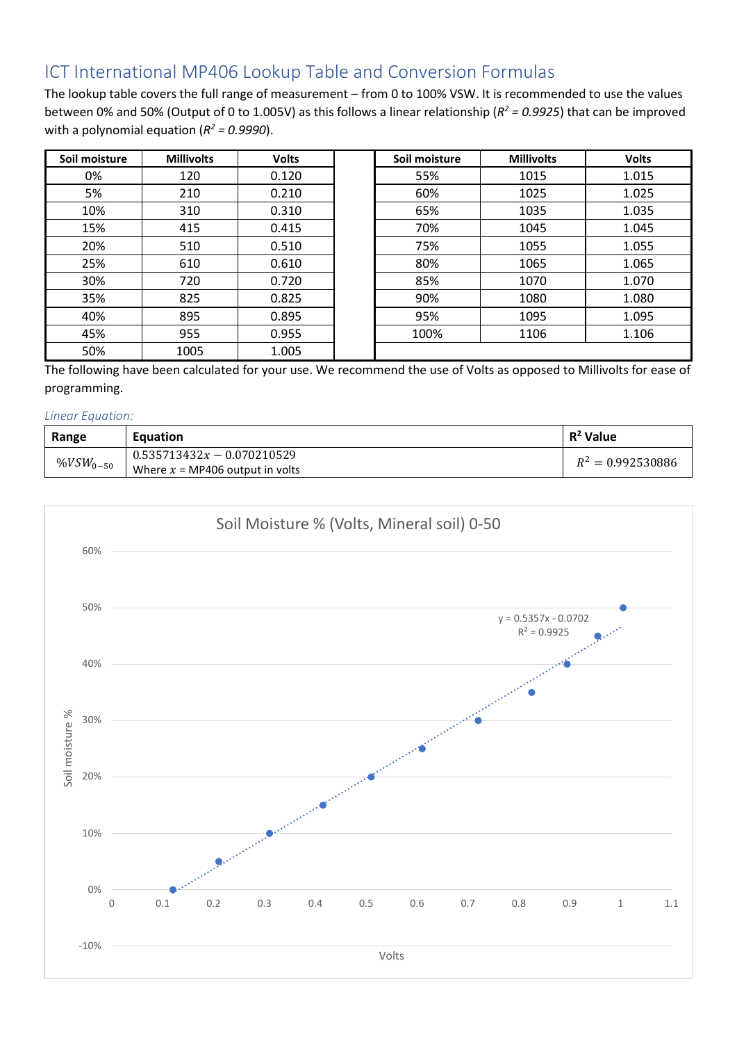## ICT International MP406 Lookup Table and Conversion Formulas

The lookup table covers the full range of measurement – from 0 to 100% VSW. It is recommended to use the values between 0% and 50% (Output of 0 to 1.005V) as this follows a linear relationship (*R2 = 0.9925*) that can be improved with a polynomial equation  $(R^2 = 0.9990)$ .

| Soil moisture | <b>Millivolts</b> | <b>Volts</b> | Soil moisture | <b>Millivolts</b> | <b>Volts</b> |
|---------------|-------------------|--------------|---------------|-------------------|--------------|
| 0%            | 120               | 0.120        | 55%           | 1015              | 1.015        |
| 5%            | 210               | 0.210        | 60%           | 1025              | 1.025        |
| 10%           | 310               | 0.310        | 65%           | 1035              | 1.035        |
| 15%           | 415               | 0.415        | 70%           | 1045              | 1.045        |
| 20%           | 510               | 0.510        | 75%           | 1055              | 1.055        |
| 25%           | 610               | 0.610        | 80%           | 1065              | 1.065        |
| 30%           | 720               | 0.720        | 85%           | 1070              | 1.070        |
| 35%           | 825               | 0.825        | 90%           | 1080              | 1.080        |
| 40%           | 895               | 0.895        | 95%           | 1095              | 1.095        |
| 45%           | 955               | 0.955        | 100%          | 1106              | 1.106        |
| 50%           | 1005              | 1.005        |               |                   |              |

The following have been calculated for your use. We recommend the use of Volts as opposed to Millivolts for ease of programming.

## *Linear Equation:*

| Range              | Equation                          | $R^2$ Value         |
|--------------------|-----------------------------------|---------------------|
| %VSW $_{\rm 0-50}$ | $0.535713432x - 0.070210529$      | $R^2 = 0.992530886$ |
|                    | Where $x = MP406$ output in volts |                     |